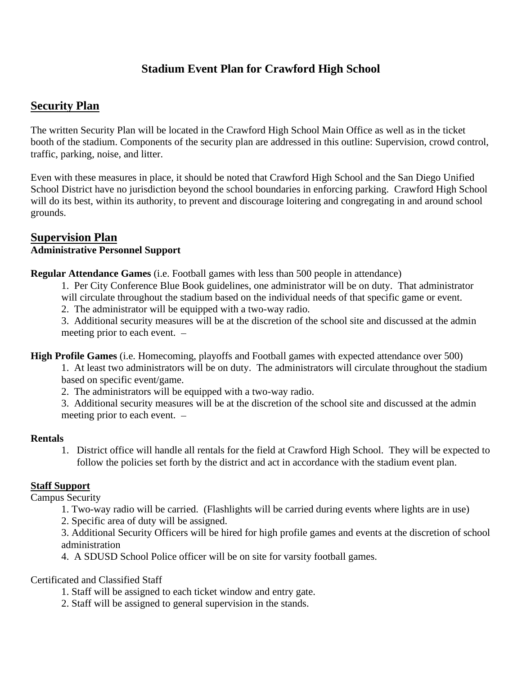# **Stadium Event Plan for Crawford High School**

# **Security Plan**

The written Security Plan will be located in the Crawford High School Main Office as well as in the ticket booth of the stadium. Components of the security plan are addressed in this outline: Supervision, crowd control, traffic, parking, noise, and litter.

Even with these measures in place, it should be noted that Crawford High School and the San Diego Unified School District have no jurisdiction beyond the school boundaries in enforcing parking. Crawford High School will do its best, within its authority, to prevent and discourage loitering and congregating in and around school grounds.

#### **Supervision Plan Administrative Personnel Support**

**Regular Attendance Games** (i.e. Football games with less than 500 people in attendance)

1. Per City Conference Blue Book guidelines, one administrator will be on duty. That administrator will circulate throughout the stadium based on the individual needs of that specific game or event.

2. The administrator will be equipped with a two-way radio.

3. Additional security measures will be at the discretion of the school site and discussed at the admin meeting prior to each event.

**High Profile Games** (i.e. Homecoming, playoffs and Football games with expected attendance over 500)

1. At least two administrators will be on duty. The administrators will circulate throughout the stadium based on specific event/game.

2. The administrators will be equipped with a two-way radio.

3. Additional security measures will be at the discretion of the school site and discussed at the admin meeting prior to each event.

#### **Rentals**

1. District office will handle all rentals for the field at Crawford High School. They will be expected to follow the policies set forth by the district and act in accordance with the stadium event plan.

# **Staff Support**

Campus Security

1. Two-way radio will be carried. (Flashlights will be carried during events where lights are in use)

2. Specific area of duty will be assigned.

3. Additional Security Officers will be hired for high profile games and events at the discretion of school administration

4. A SDUSD School Police officer will be on site for varsity football games.

# Certificated and Classified Staff

1. Staff will be assigned to each ticket window and entry gate.

2. Staff will be assigned to general supervision in the stands.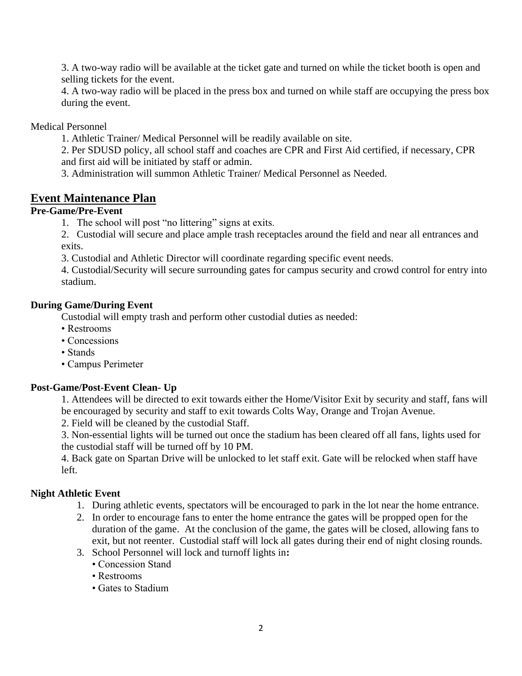3. A two-way radio will be available at the ticket gate and turned on while the ticket booth is open and selling tickets for the event.

4. A two-way radio will be placed in the press box and turned on while staff are occupying the press box during the event.

Medical Personnel

1. Athletic Trainer/ Medical Personnel will be readily available on site.

2. Per SDUSD policy, all school staff and coaches are CPR and First Aid certified, if necessary, CPR and first aid will be initiated by staff or admin.

3. Administration will summon Athletic Trainer/ Medical Personnel as Needed.

# **Event Maintenance Plan**

## **Pre-Game/Pre-Event**

1. The school will post "no littering" signs at exits.

2. Custodial will secure and place ample trash receptacles around the field and near all entrances and exits.

3. Custodial and Athletic Director will coordinate regarding specific event needs.

4. Custodial/Security will secure surrounding gates for campus security and crowd control for entry into stadium.

## **During Game/During Event**

Custodial will empty trash and perform other custodial duties as needed:

- Restrooms
- Concessions
- Stands
- Campus Perimeter

# **Post-Game/Post-Event Clean- Up**

1. Attendees will be directed to exit towards either the Home/Visitor Exit by security and staff, fans will be encouraged by security and staff to exit towards Colts Way, Orange and Trojan Avenue.

2. Field will be cleaned by the custodial Staff.

3. Non-essential lights will be turned out once the stadium has been cleared off all fans, lights used for the custodial staff will be turned off by 10 PM.

4. Back gate on Spartan Drive will be unlocked to let staff exit. Gate will be relocked when staff have left.

# **Night Athletic Event**

- 1. During athletic events, spectators will be encouraged to park in the lot near the home entrance.
- 2. In order to encourage fans to enter the home entrance the gates will be propped open for the duration of the game. At the conclusion of the game, the gates will be closed, allowing fans to exit, but not reenter. Custodial staff will lock all gates during their end of night closing rounds.
- 3. School Personnel will lock and turnoff lights in**:**
	- Concession Stand
	- Restrooms
	- Gates to Stadium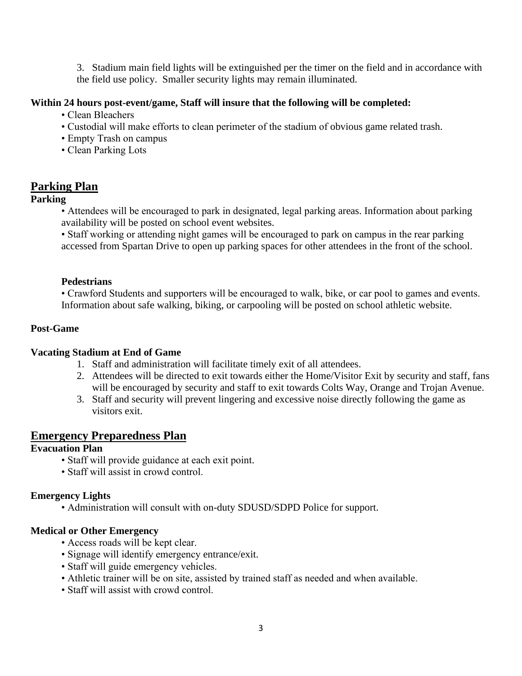3. Stadium main field lights will be extinguished per the timer on the field and in accordance with the field use policy. Smaller security lights may remain illuminated.

## **Within 24 hours post-event/game, Staff will insure that the following will be completed:**

- Clean Bleachers
- Custodial will make efforts to clean perimeter of the stadium of obvious game related trash.
- Empty Trash on campus
- Clean Parking Lots

# **Parking Plan**

## **Parking**

• Attendees will be encouraged to park in designated, legal parking areas. Information about parking availability will be posted on school event websites.

• Staff working or attending night games will be encouraged to park on campus in the rear parking accessed from Spartan Drive to open up parking spaces for other attendees in the front of the school.

#### **Pedestrians**

• Crawford Students and supporters will be encouraged to walk, bike, or car pool to games and events. Information about safe walking, biking, or carpooling will be posted on school athletic website.

## **Post-Game**

#### **Vacating Stadium at End of Game**

- 1. Staff and administration will facilitate timely exit of all attendees.
- 2. Attendees will be directed to exit towards either the Home/Visitor Exit by security and staff, fans will be encouraged by security and staff to exit towards Colts Way, Orange and Trojan Avenue.
- 3. Staff and security will prevent lingering and excessive noise directly following the game as visitors exit.

# **Emergency Preparedness Plan**

# **Evacuation Plan**

- Staff will provide guidance at each exit point.
- Staff will assist in crowd control.

#### **Emergency Lights**

• Administration will consult with on-duty SDUSD/SDPD Police for support.

### **Medical or Other Emergency**

- Access roads will be kept clear.
- Signage will identify emergency entrance/exit.
- Staff will guide emergency vehicles.
- Athletic trainer will be on site, assisted by trained staff as needed and when available.
- Staff will assist with crowd control.